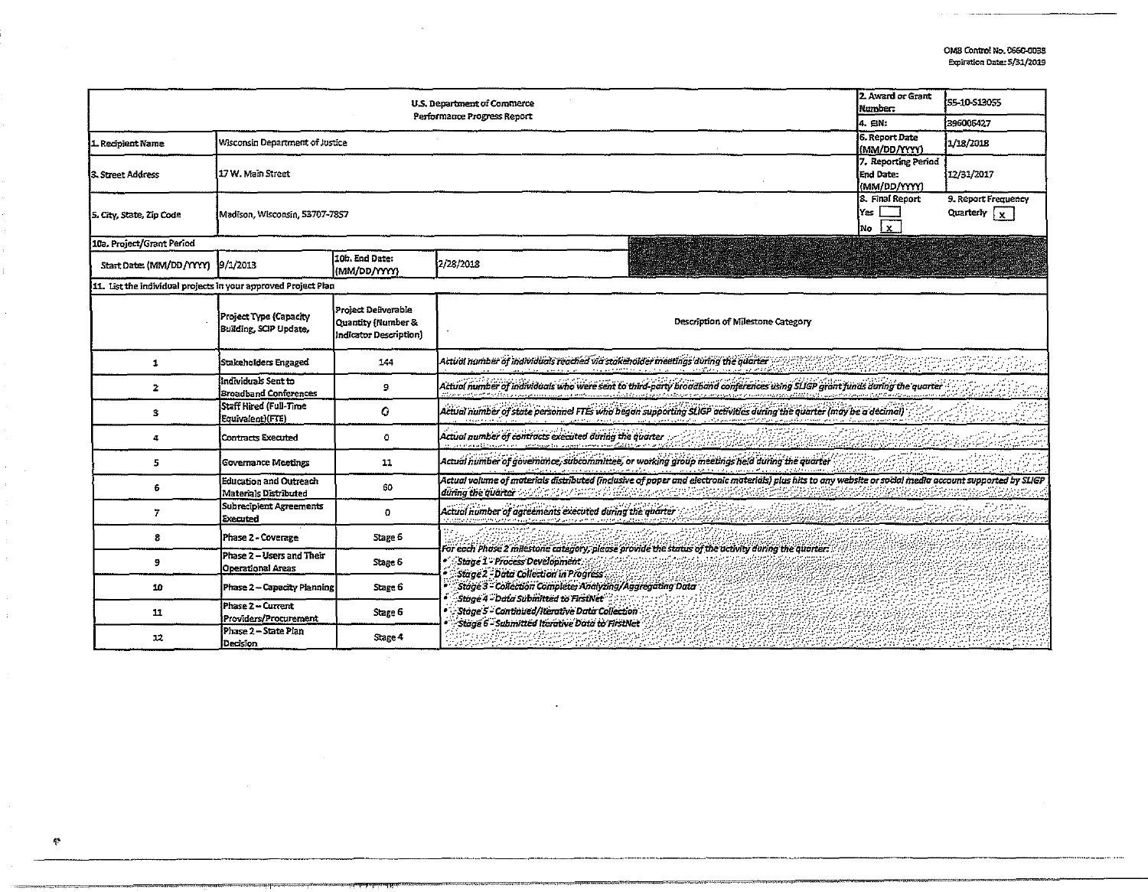| 2. Award or Grant<br>U.S. Department of Commerce<br>Number:<br>Performance Progress Report<br>4. EIN: |                                                               |                                                                     |                                                                                                                                                                                                                                                                                                                                                     |                                                | <b>IS5-10-S13055</b> |
|-------------------------------------------------------------------------------------------------------|---------------------------------------------------------------|---------------------------------------------------------------------|-----------------------------------------------------------------------------------------------------------------------------------------------------------------------------------------------------------------------------------------------------------------------------------------------------------------------------------------------------|------------------------------------------------|----------------------|
|                                                                                                       |                                                               |                                                                     |                                                                                                                                                                                                                                                                                                                                                     |                                                | 396006427            |
| L Recipient Name                                                                                      | Wisconsin Department of Justice                               |                                                                     |                                                                                                                                                                                                                                                                                                                                                     | 6. Report Date<br><b>IMM/DD/YYY)</b>           | 1/18/2018            |
| 3. Street Address                                                                                     | 17 W. Main Street                                             |                                                                     |                                                                                                                                                                                                                                                                                                                                                     | 7. Reporting Period<br>End Date:<br>MM/DD/YYYY | 112/31/2017          |
| 5. City, State, Zip Code                                                                              | Madison, Wisconsin, 53707-7857                                | 8. Final Report<br>lYes :<br>$\mathbf{x}$<br>No                     | 9. Report Frequency<br>Quarterly $\sqrt{x}$                                                                                                                                                                                                                                                                                                         |                                                |                      |
| 10a. Project/Grant Period                                                                             |                                                               |                                                                     |                                                                                                                                                                                                                                                                                                                                                     |                                                |                      |
| Start Date: (MM/DD/YYYY) 9/1/2013                                                                     |                                                               | 10b. End Date:<br>(MM/DD/YYYY)                                      | 2/28/2018                                                                                                                                                                                                                                                                                                                                           |                                                |                      |
| 11. List the individual projects in your approved Project Plan                                        |                                                               |                                                                     |                                                                                                                                                                                                                                                                                                                                                     |                                                |                      |
|                                                                                                       | Project Type (Capacity<br>Building, SCIP Update,              | Project Deliverable<br>Quantity (Number &<br>Indicator Description) | Description of Milestone Category                                                                                                                                                                                                                                                                                                                   |                                                |                      |
| 1                                                                                                     | Stakeholders Engaged                                          | 144                                                                 | Actual number of individuals reached via stakeholder meetings during the quarter and conserved and conserved and conserved and conserved and conserved and conserved and conserved and conserved and conserved and conserved a                                                                                                                      |                                                |                      |
| $\overline{2}$                                                                                        | Individuals Sent to<br><b>Broadband Conferences</b>           | э                                                                   | .<br>Actual number of individuals who were sent to third-party broadband conferences using SLIGP grant junds during the quarter                                                                                                                                                                                                                     |                                                |                      |
| 3                                                                                                     | Staff Hired (Full-Time<br>Equivalent)(FTE)                    | ٥                                                                   | Actual number of state personnel FTEs who began supporting SLIGP activities during the quarter (may be a decimal)                                                                                                                                                                                                                                   |                                                |                      |
| 4                                                                                                     | <b>Contracts Executed</b>                                     | ٥                                                                   | Actual number of contracts executed during the quarter and contract the contract of the contract of the contract of                                                                                                                                                                                                                                 |                                                |                      |
| 5                                                                                                     | Governance Meetings                                           | 11                                                                  | Actual number of governance, subcommittee, or working group meetings held during the quarter<br>an di tanah kanggalan dan masa dan di tanah kang <mark>sang sang menaw</mark> ang panggalan tanggalan tanggalan di tanggalan<br>Saya karang manggalan dan masa <u>ng manggalan masa di tanah manggalan tanggalan tanggalan dan tanggalan tangga</u> |                                                |                      |
| 6                                                                                                     | <b>Education and Outreach</b><br><b>Materials Distributed</b> | 60                                                                  | Actual volume of materials distributed (inclusive of paper and electronic materials) plus hits to any website or social media account supported by SLIGP                                                                                                                                                                                            |                                                |                      |
| 7                                                                                                     | Subrecipient Agreements<br>Executed                           | ٥                                                                   | during the quarter contract experience of pure and decoration measures plus his to any weastle or solid means account sup-<br>Actual humber of agreements executed during the quarter                                                                                                                                                               |                                                |                      |
| 8                                                                                                     | Phase 2 - Coverage                                            | Stage 6                                                             | For each Phase 2 milestone category, please provide the status of the activity during the quarter:                                                                                                                                                                                                                                                  |                                                |                      |
| 9                                                                                                     | Phase 2 - Users and Their<br>Operational Areas                | Stage 6                                                             | Stage 1" Process Development<br>Stage 2 - Data Collection in Progress                                                                                                                                                                                                                                                                               |                                                |                      |
| 10                                                                                                    | Phase 2 – Capacity Planning                                   | Stage 6                                                             | Stage 3 - Collection Complete: Analyzing/Aggregating Data<br>Stage 4 - Data Submitted to FirstNet                                                                                                                                                                                                                                                   |                                                |                      |
| 11                                                                                                    | Phase 2-Current<br>Providers/Procurement                      | Stage 6                                                             | Stage 5 - Continued /Iterative Data Collection<br>Stage 6 - Submitted Iterative Data to FirstNet                                                                                                                                                                                                                                                    |                                                |                      |
| 12                                                                                                    | Phase 2 - State Plan<br>Decision                              | Stage 4                                                             |                                                                                                                                                                                                                                                                                                                                                     |                                                |                      |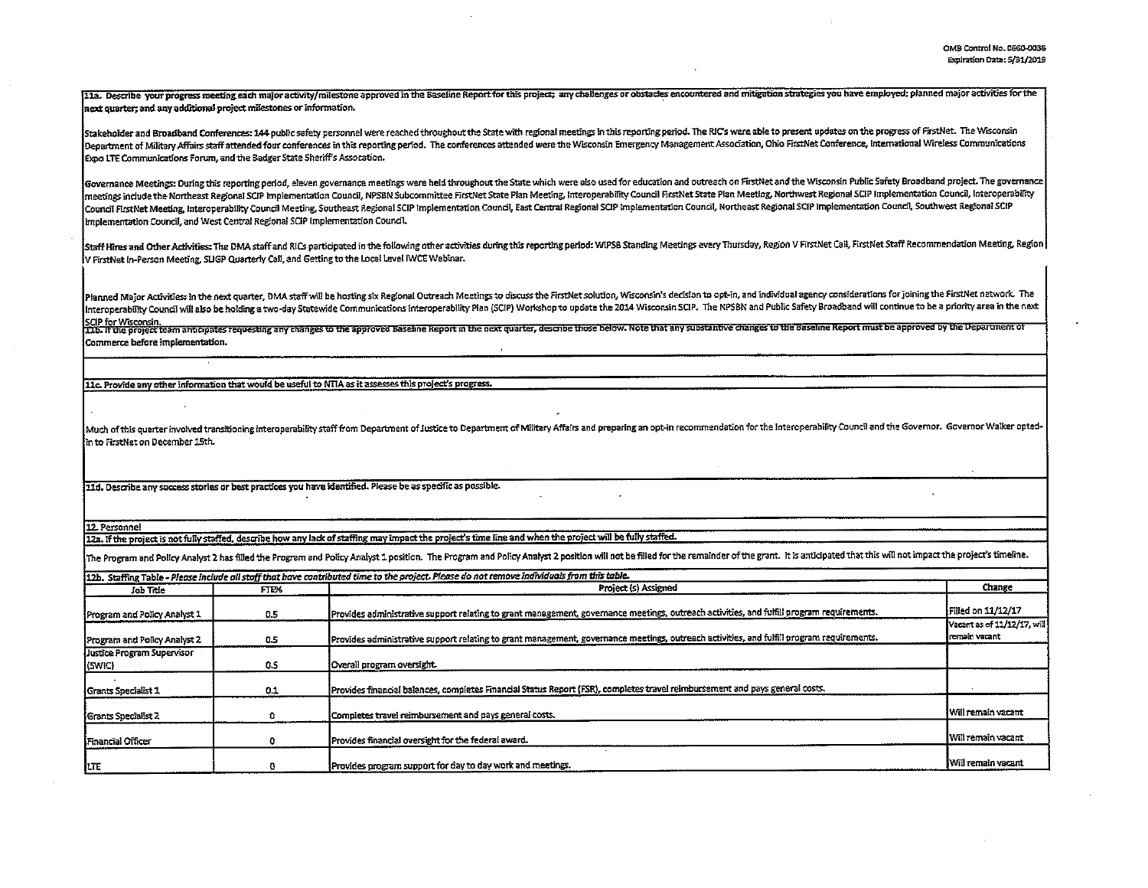11a. Describe your progress meeting each major activity/milestone approved in the Baseline Report for this project; any challenges or obstacles encountered and mitigation strategies you have employed; planned major activit .<br>next quarter; and any additional project milestones or information.

Stakeholder and Broadband Conferences: 144 public safety personnel were reached throughout the State with regional meetings in this reporting period. The RIC's were able to present updates on the progress of FirstNet. The Department of Military Affairs staff attended four conferences in this reporting period. The conferences attended were the Wisconsin Emergency Management Association, Ohio FirstNet Conference, International Wireless Commun Expo LTE Communications Forum, and the Badger State Sheriff's Assocation.

Governance Meetings: During this reporting period, eleven governance meetings were held throughout the State which were also used for education and outreach on FirstNet and the Wisconsin Public Safety Broadband project. Th meetings include the Northeast Regional SCIP Implementation Council, NPSBN Subcommittee FirstNet State Plan Meeting, Interoperability Council FirstNet State Plan Meeting, Northwest Regional SCIP Implementation Council, Int Council FirstNet Meeting, Interoperability Council Meeting, Southeast Regional SCIP Implementation Council, East Central Regional SCIP Implementation Council, Northeast Regional SCIP Implementation Council, Southwest Regio Implementation Council, and West Central Regional SCIP Implementation Council.

Staff Hires and Other Activities: The DMA staff and RLCs participated in the following other activities during this reporting period: WIPSB Standing Meetings every Thursday, Region V FirstNet Call, FirstNet Staff Recommend V FirstNet In-Person Meeting, SLIGP Quarterly Call, and Getting to the Local Level IWCE Webinar.

Planned Major Activities: In the next quarter, DMA staff will be hosting six Regional Outreach Meetings to discuss the FirstNet solution, Wisconsin's decision to opt-in, and individual agency considerations for joining the Interoperability Council will also be holding a two-day Statewide Communications Interoperability Plan (SCIP) Workshop to update the 2014 Wisconsin SCIP. The NPSBN and Public Safety Broadband will continue to be a priority

SCIP for Wisconsin.<br>LLb. If the project team anticipates requesting any changes to the approved Baseline Report in the next quarter, describe those below. Note that any substantive changes to the Baseline Report must be ap Commerce before implementation.

11c. Provide any other information that would be useful to NTIA as it assesses this project's progress.

Much of this quarter involved transitioning interoperability staff from Department of Justice to Department of Military Affairs and preparing an opt-in recommendation for the Interoperability Council and the Governor. Gove in to FirstNet on December 15th.

11d. Describe any success stories or best practices you have identified. Please be as specific as possible.

12. Personnel

12a, if the project is not fully staffed, describe how any lack of staffing may impact the project's time line and when the project will be fully staffed.

The Program and Policy Analyst 2 has filled the Program and Policy Analyst 1 position. The Program and Policy Analyst 2 position will not be filled for the remainder of the grant. It is anticipated that this will not impac

|                                      |       | 112b. Staffing Table - Please include all staff that have contributed time to the project. Please do not remove individuals from this table. |                                               |
|--------------------------------------|-------|----------------------------------------------------------------------------------------------------------------------------------------------|-----------------------------------------------|
| Job Title                            | FIEX. | Project (s) Assigned                                                                                                                         | Change                                        |
| Program and Policy Analyst 1         | 0.5   | Provides administrative support relating to grant management, governance meetings, outreach activities, and fulfill program requirements.    | Filled on 11/12/17                            |
| Program and Policy Analyst 2         | 0.5   | Provides administrative support relating to grant management, governance meetings, outreach activities, and fulfill program requirements.    | Vacant as of 11/12/17, will<br>Iremain vacant |
| Justice Program Supervisor<br>(SWIC) | 0.5   | Overall program oversight.                                                                                                                   |                                               |
| Grants Specialist 1                  | 0.1   | Provides financial balances, completes Financial Status Report (FSR), completes travel reimbursement and pays general costs.                 |                                               |
| Grants Specialist 2                  |       | Completes travel reimbursement and pays general costs.                                                                                       | Will remain vacant                            |
| Financial Officer                    |       | Provides financial oversight for the federal award.                                                                                          | l Will remain vacant                          |
| ITE                                  |       | Provides program support for day to day work and meetings.                                                                                   | <b>Will remain vacant</b>                     |